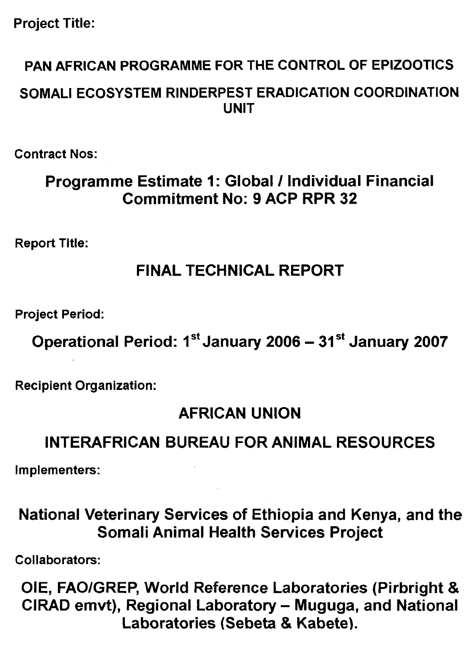## **Project Title:**

## **PAN AFRICAN PROGRAMME FOR THE CONTROL OF EPIZOOTICS**

## **SOMALI ECOSYSTEM RINDERPEST ERADICATION COORDINATION UNIT**

**Contract Nos:** 

## **Programme Estimate 1: Global / Individual Financial Commitment No: 9 ACP RPR 32**

**Report Title:** 

## **FINAL TECHNICAL REPORT**

**Project Period:** 

**Operational Period: 1<sup>st</sup> January 2006 – 31<sup>st</sup> January 2007** 

**Recipient Organization:** 

## **AFRICAN UNION**

## **INTERAFRICAN BUREAU FOR ANIMAL RESOURCES**

**Implementers:** 

## **National Veterinary Services of Ethiopia and Kenya, and the Somali Animal Health Services Project**

**Collaborators:** 

**01E, FAO/GREP, World Reference Laboratories (Pirbright & CIRAD emvt), Regional Laboratory — Muguga, and National Laboratories (Sebeta & Kabete).**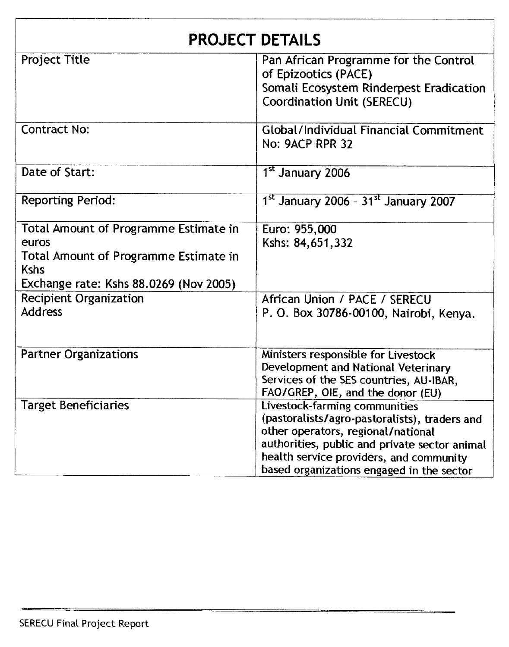| <b>PROJECT DETAILS</b>                 |                                                                                     |  |  |  |  |
|----------------------------------------|-------------------------------------------------------------------------------------|--|--|--|--|
| <b>Project Title</b>                   | Pan African Programme for the Control<br>of Epizootics (PACE)                       |  |  |  |  |
|                                        | Somali Ecosystem Rinderpest Eradication                                             |  |  |  |  |
|                                        | <b>Coordination Unit (SERECU)</b>                                                   |  |  |  |  |
| <b>Contract No:</b>                    | <b>Global/Individual Financial Commitment</b>                                       |  |  |  |  |
|                                        | No: 9ACP RPR 32                                                                     |  |  |  |  |
| Date of Start:                         | 1 <sup>st</sup> January 2006                                                        |  |  |  |  |
| <b>Reporting Period:</b>               | 1st January 2006 - 31st January 2007                                                |  |  |  |  |
| Total Amount of Programme Estimate in  | Euro: 955,000                                                                       |  |  |  |  |
| euros                                  | Kshs: 84,651,332                                                                    |  |  |  |  |
| Total Amount of Programme Estimate in  |                                                                                     |  |  |  |  |
| <b>Kshs</b>                            |                                                                                     |  |  |  |  |
| Exchange rate: Kshs 88.0269 (Nov 2005) |                                                                                     |  |  |  |  |
| <b>Recipient Organization</b>          | African Union / PACE / SERECU                                                       |  |  |  |  |
| <b>Address</b>                         | P. O. Box 30786-00100, Nairobi, Kenya.                                              |  |  |  |  |
| <b>Partner Organizations</b>           | Ministers responsible for Livestock                                                 |  |  |  |  |
|                                        | Development and National Veterinary                                                 |  |  |  |  |
|                                        | Services of the SES countries, AU-IBAR,                                             |  |  |  |  |
|                                        | FAO/GREP, OIE, and the donor (EU)                                                   |  |  |  |  |
| <b>Target Beneficiaries</b>            | Livestock-farming communities                                                       |  |  |  |  |
|                                        | (pastoralists/agro-pastoralists), traders and<br>other operators, regional/national |  |  |  |  |
|                                        | authorities, public and private sector animal                                       |  |  |  |  |
|                                        | health service providers, and community                                             |  |  |  |  |
|                                        | based organizations engaged in the sector                                           |  |  |  |  |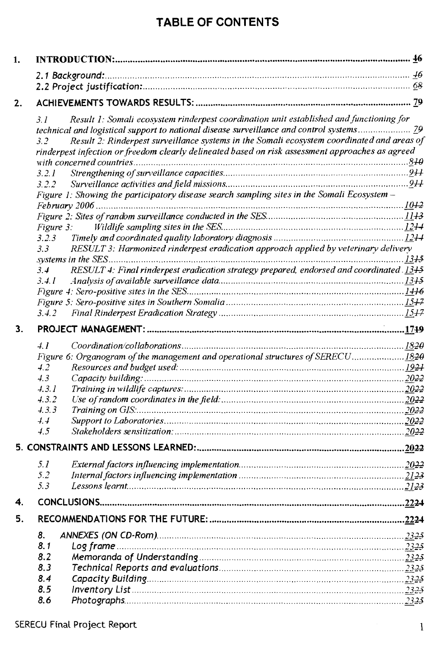### **TABLE OF CONTENTS**

| 1. |                                                                                                   |      |
|----|---------------------------------------------------------------------------------------------------|------|
|    |                                                                                                   |      |
|    |                                                                                                   |      |
|    |                                                                                                   |      |
| 2. |                                                                                                   |      |
|    | Result 1: Somali ecosystem rinderpest coordination unit established and functioning for<br>3.1    |      |
|    |                                                                                                   |      |
|    | Result 2: Rinderpest surveillance systems in the Somali ecosystem coordinated and areas of<br>3.2 |      |
|    | rinderpest infection or freedom clearly delineated based on risk assessment approaches as agreed  |      |
|    |                                                                                                   |      |
|    | 3.2.1                                                                                             |      |
|    | 322                                                                                               |      |
|    | Figure 1: Showing the participatory disease search sampling sites in the Somali Ecosystem -       |      |
|    |                                                                                                   |      |
|    |                                                                                                   |      |
|    | Figure 3:                                                                                         |      |
|    | 3.2.3<br>3.3                                                                                      |      |
|    | RESULT 3: Harmonized rinderpest eradication approach applied by veterinary delivery               |      |
|    | RESULT 4: Final rinderpest eradication strategy prepared, endorsed and coordinated 1345<br>3.4    |      |
|    | 3.4.1                                                                                             |      |
|    |                                                                                                   |      |
|    |                                                                                                   |      |
|    | 3.4.2                                                                                             |      |
| 3. |                                                                                                   |      |
|    |                                                                                                   |      |
|    | 4.1                                                                                               |      |
|    | Figure 6: Organogram of the management and operational structures of SERECU1820                   |      |
|    | 4.2                                                                                               |      |
|    | 4.3                                                                                               |      |
|    | 4.3.1                                                                                             |      |
|    | 4.3.2<br>4.3.3                                                                                    |      |
|    | 4.4                                                                                               |      |
|    | 4.5                                                                                               |      |
|    |                                                                                                   |      |
|    |                                                                                                   |      |
|    | 5.1                                                                                               |      |
|    | 5.2                                                                                               | 2123 |
|    | 5.3                                                                                               |      |
| 4. |                                                                                                   |      |
| 5. |                                                                                                   |      |
|    | 8.                                                                                                |      |
|    | 8.1                                                                                               |      |
|    | 8.2                                                                                               |      |
|    | 8.3                                                                                               |      |
|    | 8.4                                                                                               |      |
|    | 8.5                                                                                               |      |
|    | 8.6                                                                                               |      |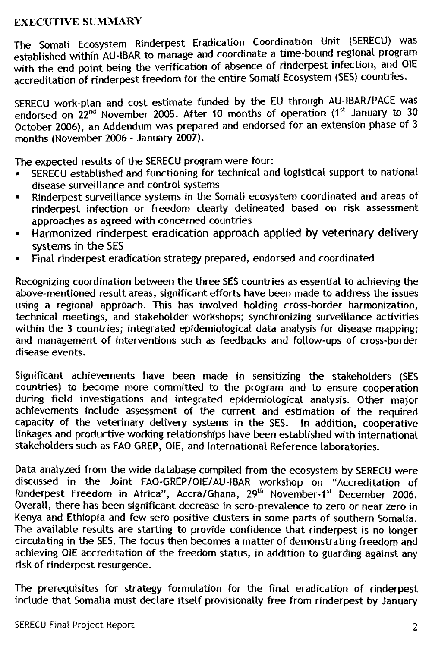#### EXECUTIVE SUMMARY

The Somali Ecosystem Rinderpest Eradication Coordination Unit (SERECU) was established within AU-IBAR to manage and coordinate a time-bound regional program with the end point being the verification of absence of rinderpest infection, and OIE accreditation of rinderpest freedom for the entire Somali Ecosystem (SES) countries.

SERECU work-plan and cost estimate funded by the EU through AU-IBAR/PACE was endorsed on 22<sup>nd</sup> November 2005. After 10 months of operation (1<sup>st</sup> January to 30 October 2006), an Addendum was prepared and endorsed for an extension phase of 3 months (November 2006 - January 2007).

The expected results of the SERECU program were four:

- SERECU established and functioning for technical and logistical support to national disease surveillance and control systems
- Rinderpest surveillance systems in the Somali ecosystem coordinated and areas of rinderpest infection or freedom clearly delineated based on risk assessment approaches as agreed with concerned countries
- Harmonized rinderpest eradication approach applied by veterinary delivery systems in the SES
- Final rinderpest eradication strategy prepared, endorsed and coordinated

Recognizing coordination between the three SES countries as essential to achieving the above-mentioned result areas, significant efforts have been made to address the issues using a regional approach. This has involved holding cross-border harmonization, technical meetings, and stakeholder workshops; synchronizing surveillance activities within the 3 countries; integrated epidemiological data analysis for disease mapping; and management of interventions such as feedbacks and follow-ups of cross-border disease events.

Significant achievements have been made in sensitizing the stakeholders (SES countries) to become more committed to the program and to ensure cooperation during field investigations and integrated epidemiological analysis. Other major achievements include assessment of the current and estimation of the required capacity of the veterinary delivery systems in the SES. In addition, cooperative linkages and productive working relationships have been established with international stakeholders such as FAO GREP, 01E, and International Reference laboratories.

Data analyzed from the wide database compiled from the ecosystem by SERECU were discussed in the Joint FAO-GREP/OIE/AU-IBAR workshop on "Accreditation of Rinderpest Freedom in Africa", Accra/Ghana, 29<sup>th</sup> November-1<sup>st</sup> December 2006. Overall, there has been significant decrease in sero-prevalence to zero or near zero in Kenya and Ethiopia and few sero-positive clusters in some parts of southern Somalia. The available results are starting to provide confidence that rinderpest is no longer circulating in the SES. The focus then becomes a matter of demonstrating freedom and achieving OIE accreditation of the freedom status, in addition to guarding against any risk of rinderpest resurgence.

The prerequisites for strategy formulation for the final eradication of rinderpest include that Somalia must declare itself provisionally free from rinderpest by January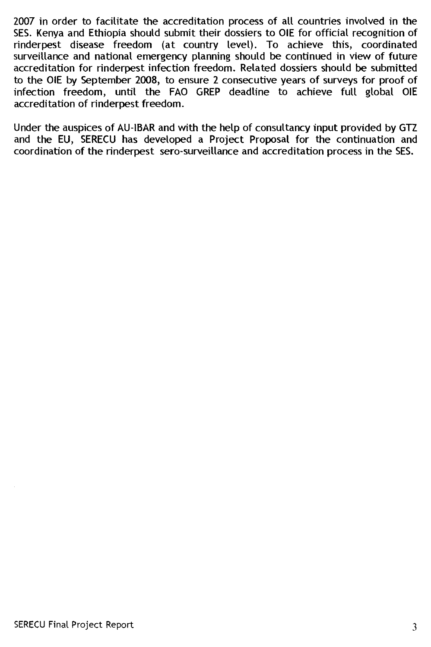2007 in order to facilitate the accreditation process of all countries involved in the SES. Kenya and Ethiopia should submit their dossiers to OIE for official recognition of rinderpest disease freedom (at country level). To achieve this, coordinated surveillance and national emergency planning should be continued in view of future accreditation for rinderpest infection freedom. Related dossiers should be submitted to the OIE by September 2008, to ensure 2 consecutive years of surveys for proof of infection freedom, until the FAO GREP deadline to achieve full global OIE accreditation of rinderpest freedom.

Under the auspices of AU-IBAR and with the help of consultancy input provided by GTZ and the EU, SERECU has developed a Project Proposal for the continuation and coordination of the rinderpest sero-surveillance and accreditation process in the SES.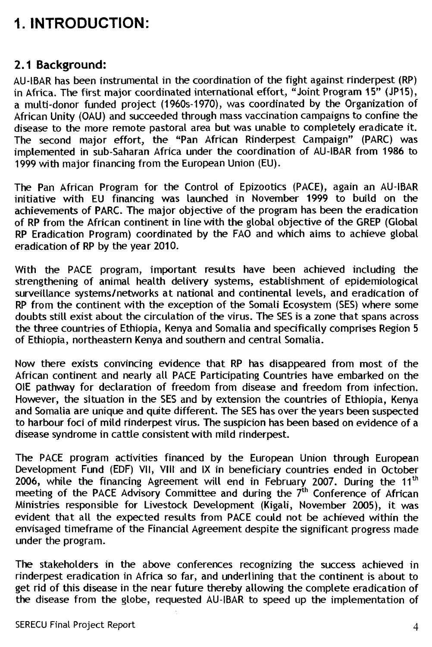## **1. INTRODUCTION:**

#### **2.1 Background:**

AU-IBAR has been instrumental in the coordination of the fight against rinderpest (RP) in Africa. The first major coordinated international effort, "Joint Program 15" (JP15), a multi-donor funded project (1960s-1970), was coordinated by the Organization of African Unity (OAU) and succeeded through mass vaccination campaigns to confine the disease to the more remote pastoral area but was unable to completely eradicate it. The second major effort, the "Pan African Rinderpest Campaign" (PARC) was implemented in sub-Saharan Africa under the coordination of AU-IBAR from 1986 to 1999 with major financing from the European Union (EU).

The Pan African Program for the Control of Epizootics (PACE), again an AU-IBAR initiative with EU financing was launched in November 1999 to build on the achievements of PARC. The major objective of the program has been the eradication of RP from the African continent in tine with the global objective of the GREP (Global RP Eradication Program) coordinated by the FAO and which aims to achieve global eradication of RP by the year 2010.

With the PACE program, important results have been achieved including the strengthening of animal health delivery systems, establishment of epidemiological surveillance systems/networks at national and continental levels, and eradication of RP from the continent with the exception of the Somali Ecosystem (SES) where some doubts still exist about the circulation of the virus. The SES is a zone that spans across the three countries of Ethiopia, Kenya and Somalia and specifically comprises Region 5 of Ethiopia, northeastern Kenya and southern and central Somalia.

Now there exists convincing evidence that RP has disappeared from most of the African continent and nearly all PACE Participating Countries have embarked on the OlE pathway for declaration of freedom from disease and freedom from infection. However, the situation in the SES and by extension the countries of Ethiopia, Kenya and Somalia are unique and quite different. The SES has over the years been suspected to harbour foci of mild rinderpest virus. The suspicion has been based on evidence of a disease syndrome in cattle consistent with mild rinderpest.

The PACE program activities financed by the European Union through European Development Fund (EDF) VII, VIII and IX in beneficiary countries ended in October 2006, while the financing Agreement will end in February 2007. During the 11<sup>th</sup> Development Fund (EDF) VII, VIII and IX in beneficiary countries ended in October 2006, while the financing Agreement will end in February 2007. During the 11<sup>th</sup> meeting of the PACE Advisory Committee and during the 7<sup>th</sup> Ministries responsible for Livestock Development (Kigali, November 2005), it was evident that all the expected results from PACE could not be achieved within the envisaged timeframe of the Financial Agreement despite the significant progress made under the program.

The stakeholders in the above conferences recognizing the success achieved in rinderpest eradication in Africa so far, and underlining that the continent is about to get rid of this disease in the near future thereby allowing the complete eradication of the disease from the globe, requested AU-IBAR to speed up the implementation of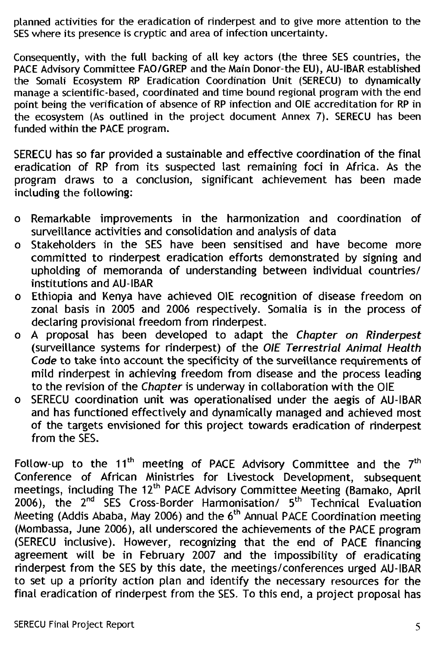planned activities for the eradication of rinderpest and to give more attention to the SES where its presence is cryptic and area of infection uncertainty.

Consequently, with the full backing of all key actors (the three SES countries, the PACE Advisory Committee FAO/GREP and the Main Donor-the EU), AU-IBAR established the Somali Ecosystem RP Eradication Coordination Unit (SERECU) to dynamically manage a scientific-based, coordinated and time bound regional program with the end point being the verification of absence of RP infection and OIE accreditation for RP in the ecosystem (As outlined in the project document Annex 7). SERECU has been funded within the PACE program.

SERECU has so far provided a sustainable and effective coordination of the final eradication of RP from its suspected last remaining foci in Africa. As the program draws to a conclusion, significant achievement has been made including the following:

- o Remarkable improvements in the harmonization and coordination of surveillance activities and consolidation and analysis of data
- o Stakeholders in the SES have been sensitised and have become more committed to rinderpest eradication efforts demonstrated by signing and upholding of memoranda of understanding between individual countries/ institutions and AU-IBAR
- o Ethiopia and Kenya have achieved OIE recognition of disease freedom on zonal basis in 2005 and 2006 respectively. Somalia is in the process of declaring provisional freedom from rinderpest.
- o A proposal has been developed to adapt the Chapter on Rinderpest (surveillance systems for rinderpest) of the OIE Terrestrial Animal Health Code to take into account the specificity of the surveillance requirements of mild rinderpest in achieving freedom from disease and the process leading to the revision of the Chapter is underway in collaboration with the OIE
- o SERECU coordination unit was operationalised under the aegis of AU-IBAR and has functioned effectively and dynamically managed and achieved most of the targets envisioned for this project towards eradication of rinderpest from the SES.

Follow-up to the 11<sup>th</sup> meeting of PACE Advisory Committee and the  $7<sup>th</sup>$ Conference of African Ministries for Livestock Development, subsequent meetings, including The 12<sup>th</sup> PACE Advisory Committee Meeting (Bamako, April  $2006$ ), the  $2<sup>nd</sup>$  SES Cross-Border Harmonisation/  $5<sup>th</sup>$  Technical Evaluation Meeting (Addis Ababa, May 2006) and the  $6<sup>th</sup>$  Annual PACE Coordination meeting (Mombassa, June 2006), all underscored the achievements of the PACE program (SERECU inclusive). However, recognizing that the end of PACE financing agreement will be in February 2007 and the impossibility of eradicating rinderpest from the SES by this date, the meetings/conferences urged AU-IBAR to set up a priority action plan and identify the necessary resources for the final eradication of rinderpest from the SES. To this end, a project proposal has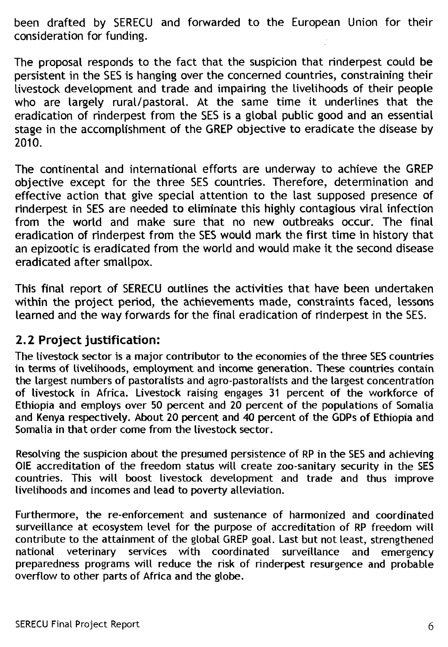been drafted by SERECU and forwarded to the European Union for their consideration for funding.

The proposal responds to the fact that the suspicion that rinderpest could be persistent in the SES is hanging over the concerned countries, constraining their livestock development and trade and impairing the livelihoods of their people who are largely rural/pastoral. At the same time it underlines that the eradication of rinderpest from the SES is a global public good and an essential stage in the accomplishment of the GREP objective to eradicate the disease by 2010.

The continental and international efforts are underway to achieve the GREP objective except for the three SES countries. Therefore, determination and effective action that give special attention to the last supposed presence of rinderpest in SES are needed to eliminate this highly contagious viral infection from the world and make sure that no new outbreaks occur. The final eradication of rinderpest from the SES would mark the first time in history that an epizootic is eradicated from the world and would make it the second disease eradicated after smallpox.

This final report of SERECU outlines the activities that have been undertaken within the project period, the achievements made, constraints faced, lessons learned and the way forwards for the final eradication of rinderpest in the SES.

### **2.2 Project justification:**

The livestock sector is a major contributor to the economies of the three SES countries in terms of livelihoods, employment and income generation. These countries contain the largest numbers of pastoralists and agro-pastoralists and the largest concentration of livestock in Africa. Livestock raising engages 31 percent of the workforce of Ethiopia and employs over 50 percent and 20 percent of the populations of Somalia and Kenya respectively. About 20 percent and 40 percent of the GDPs of Ethiopia and Somalia in that order come from the livestock sector.

Resolving the suspicion about the presumed persistence of RP in the SES and achieving OIE accreditation of the freedom status will create zoo-sanitary security in the SES countries. This will boost livestock development and trade and thus improve livelihoods and incomes and lead to poverty alleviation.

Furthermore, the re-enforcement and sustenance of harmonized and coordinated surveillance at ecosystem level for the purpose of accreditation of RP freedom will contribute to the attainment of the global GREP goal. Last but not least, strengthened national veterinary services with coordinated surveillance and emergency preparedness programs will reduce the risk of rinderpest resurgence and probable overflow to other parts of Africa and the globe.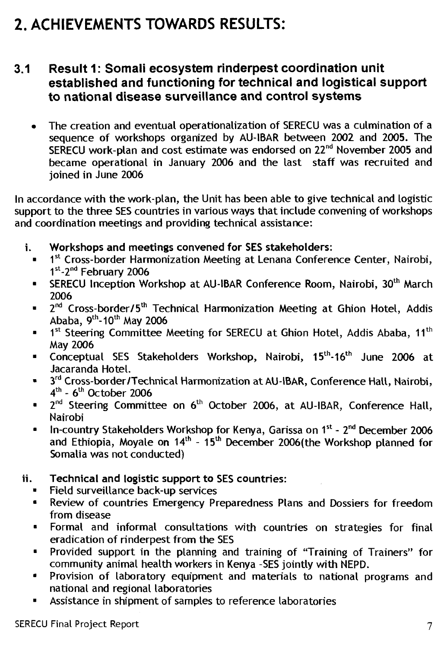# **2. ACHIEVEMENTS TOWARDS RESULTS:**

#### **3.1 Result 1: Somali ecosystem rinderpest coordination unit established and functioning for technical and logistical support to national disease surveillance and control systems**

• The creation and eventual operationalization of SERECU was a culmination of a sequence of workshops organized by AU-IBAR between 2002 and 2005. The SERECU work-plan and cost estimate was endorsed on 22<sup>nd</sup> November 2005 and became operational in January 2006 and the last staff was recruited and joined in June 2006

In accordance with the work-plan, the Unit has been able to give technical and logistic support to the three SES countries in various ways that include convening of workshops and coordination meetings and providing technical assistance:

- i. **Workshops and meetings convened for SES stakeholders:** 
	- $\bullet$  1st Cross-border Harmonization Meeting at Lenana Conference Center, Nairobi, 1<sup>st</sup>-2<sup>nd</sup> February 2006
	- SERECU Inception Workshop at AU-IBAR Conference Room, Nairobi, 30<sup>th</sup> March 2006
	- **•** 2<sup>nd</sup> Cross-border/5<sup>th</sup> Technical Harmonization Meeting at Ghion Hotel, Addis Ababa, 9th-1**0th** May 2006
	- $\bullet$  1<sup>st</sup> Steering Committee Meeting for SERECU at Ghion Hotel, Addis Ababa, 11<sup>th</sup> May 2006
	- Conceptual SES Stakeholders Workshop, Nairobi, 15<sup>th</sup>-16<sup>th</sup> June 2006 at Jacaranda Hotel.
	- **3rd** Cross-border/Technical Harmonization at AU-1BAR, Conference Halt, Nairobi, **4th \_ 6th** October 2006
	- **•** 2<sup>nd</sup> Steering Committee on 6<sup>th</sup> October 2006, at AU-IBAR, Conference Hall, Nairobi
	- In-country Stakeholders Workshop for Kenya, Garissa on 1<sup>st</sup> 2<sup>nd</sup> December 2006 and Ethiopia, Moyale on  $14<sup>th</sup> - 15<sup>th</sup>$  December 2006(the Workshop planned for Somalia was not conducted)
- ii. **Technical and logistic support to SES countries:** 
	- Field surveillance back-up services
	- Review of countries Emergency Preparedness Plans and Dossiers for freedom from disease
	- Formal and informal consultations with countries on strategies for final eradication of rinderpest from the SES
	- Provided support in the planning and training of "Training of Trainers" for community animal health workers in Kenya -SES jointly with NEPD.
	- Provision of laboratory equipment and materials to national programs and national and regional laboratories
	- Assistance in shipment of samples to reference laboratories  $\blacksquare$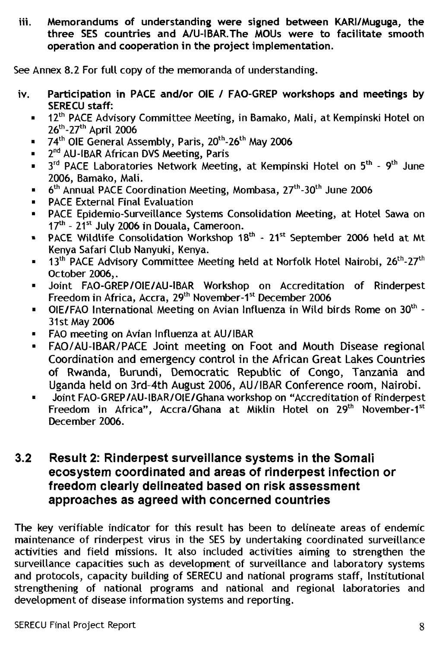**iii. Memorandums of understanding were signed between KARI/Muguga, the three SES countries and A/U-IBAR.The MOUs were to facilitate smooth operation and cooperation in the project implementation.** 

See Annex 8.2 For full copy of the memoranda of understanding.

- **iv. Participation in PACE and/or OIE / FAO-GREP workshops and meetings by SERECU staff:** 
	- 12<sup>th</sup> PACE Advisory Committee Meeting, in Bamako, Mali, at Kempinski Hotel on  $26^{th}$ -27<sup>th</sup> April 2006
	- 74<sup>th</sup> OIE General Assembly, Paris, 20<sup>th</sup>-26<sup>th</sup> May 2006
	- 2<sup>nd</sup> AU-IBAR African DVS Meeting, Paris
	- **■**  $3^{rd}$  PACE Laboratories Network Meeting, at Kempinski Hotel on  $5^{th}$   $9^{th}$  June 2006, Bamako, Mali.
	- $\blacksquare$  6<sup>th</sup> Annual PACE Coordination Meeting, Mombasa, 27<sup>th</sup>-30<sup>th</sup> June 2006
	- PACE External Final Evaluation
	- PACE Epidemio-Surveillance Systems Consolidation Meeting, at Hotel Sawa on 17<sup>th</sup> - 21<sup>st</sup> July 2006 in Douala, Cameroon.
	- **PACE Wildlife Consolidation Workshop 18th 21st September 2006 held at Mt** Kenya Safari Club Nanyuki, Kenya.
	- $\blacksquare$  13<sup>th</sup> PACE Advisory Committee Meeting held at Norfolk Hotel Nairobi, 26<sup>th</sup>-27<sup>th</sup> October 2006,.
	- Joint FAO-GREP/OIE/AU-IBAR Workshop on Accreditation of Rinderpest Freedom in Africa, Accra, 29<sup>th</sup> November-1<sup>st</sup> December 2006
	- **■** OIE/FAO International Meeting on Avian Influenza in Wild birds Rome on  $30<sup>th</sup>$  -31st May 2006
	- FAO meeting on Avian Influenza at AU/IBAR
	- FAO/AU-IBAR/PACE Joint meeting on Foot and Mouth Disease regional Coordination and emergency control in the African Great Lakes Countries of Rwanda, Burundi, Democratic Republic of Congo, Tanzania and Uganda held on 3rd-4th August 2006, AU/IBAR Conference room, Nairobi.
	- Joint FAO-GREP/AU-IBAR/01E/Ghana workshop on "Accreditation of Rinderpest Freedom in Africa", Accra/Ghana at Miklin Hotel on 29<sup>th</sup> November-1<sup>st</sup> December 2006.

#### **3.2 Result 2: Rinderpest surveillance systems in the Somali ecosystem coordinated and areas of rinderpest infection or freedom clearly delineated based on risk assessment approaches as agreed with concerned countries**

The key verifiable indicator for this result has been to delineate areas of endemic maintenance of rinderpest virus in the SES by undertaking coordinated surveillance activities and field missions. It also included activities aiming to strengthen the surveillance capacities such as development of surveillance and laboratory systems and protocols, capacity building of SERECU and national programs staff, Institutional strengthening of national programs and national and regional laboratories and development of disease information systems and reporting.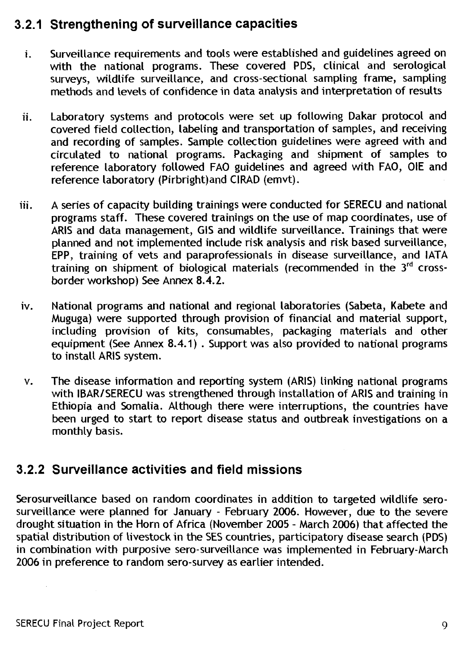### **3.2.1 Strengthening of surveillance capacities**

- i. Surveillance requirements and tools were established and guidelines agreed on with the national programs. These covered PDS, clinical and serological surveys, wildlife surveillance, and cross-sectional sampling frame, sampling methods and levels of confidence in data analysis and interpretation of results
- ii. Laboratory systems and protocols were set up following Dakar protocol and covered field collection, labeling and transportation of samples, and receiving and recording of samples. Sample collection guidelines were agreed with and circulated to national programs. Packaging and shipment of samples to reference laboratory followed FAO guidelines and agreed with FAO, OIE and reference laboratory (Pirbright)and CIRAD (emvt).
- iii. A series of capacity building trainings were conducted for SERECU and national programs staff. These covered trainings on the use of map coordinates, use of ARIS and data management, GIS and wildlife surveillance. Trainings that were planned and not implemented include risk analysis and risk based surveillance, EPP, training of vets and paraprofessionals in disease surveillance, and IATA training on shipment of biological materials (recommended in the 3rd crossborder workshop) See Annex 8.4.2.
- iv. National programs and national and regional laboratories (Sabeta, Kabete and Muguga) were supported through provision of financial and material support, including provision of kits, consumables, packaging materials and other equipment (See Annex 8.4.1) . Support was also provided to national programs to install ARIS system.
- v. The disease information and reporting system (ARIS) linking national programs with IBAR/SERECU was strengthened through installation of ARIS and training in Ethiopia and Somalia. Although there were interruptions, the countries have been urged to start to report disease status and outbreak investigations on a monthly basis.

### **3.2.2 Surveillance activities and field missions**

Serosurveillance based on random coordinates in addition to targeted wildlife serosurveillance were planned for January - February 2006. However, due to the severe drought situation in the Horn of Africa (November 2005 - March 2006) that affected the spatial distribution of livestock in the SES countries, participatory disease search (PDS) in combination with purposive sero-surveillance was implemented in February-March 2006 in preference to random sero-survey as earlier intended.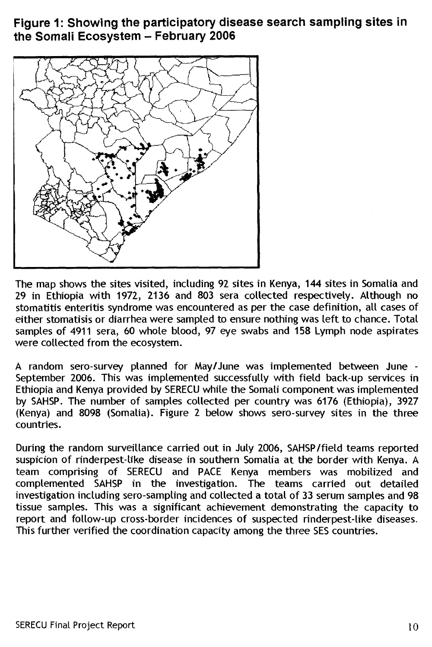### **Figure 1: Showing the participatory disease search sampling sites in the Somali Ecosystem — February 2006**



The map shows the sites visited, including 92 sites in Kenya, 144 sites in Somalia and 29 in Ethiopia with 1972, 2136 and 803 sera collected respectively. Although no stomatitis enteritis syndrome was encountered as per the case definition, all cases of either stomatisis or diarrhea were sampled to ensure nothing was left to chance. Total samples of 4911 sera, 60 whole blood, 97 eye swabs and 158 Lymph node aspirates were collected from the ecosystem.

A random sero-survey planned for May/June was implemented between June - September 2006. This was implemented successfully with field back-up services in Ethiopia and Kenya provided by SERECU white the Somali component was implemented by SAHSP. The number of samples collected per country was 6176 (Ethiopia), 3927 (Kenya) and 8098 (Somalia). Figure 2 below shows sero-survey sites in the three countries.

During the random surveillance carried out in July 2006, SAHSP/field teams reported suspicion of rinderpest-like disease in southern Somalia at the border with Kenya. A team comprising of SERECU and PACE Kenya members was mobilized and complemented SAHSP in the investigation. The teams carried out detailed investigation including sero-sampling and collected a total of 33 serum samples and 98 tissue samples. This was a significant achievement demonstrating the capacity to report and follow-up cross-border incidences of suspected rinderpest-like diseases. This further verified the coordination capacity among the three SES countries.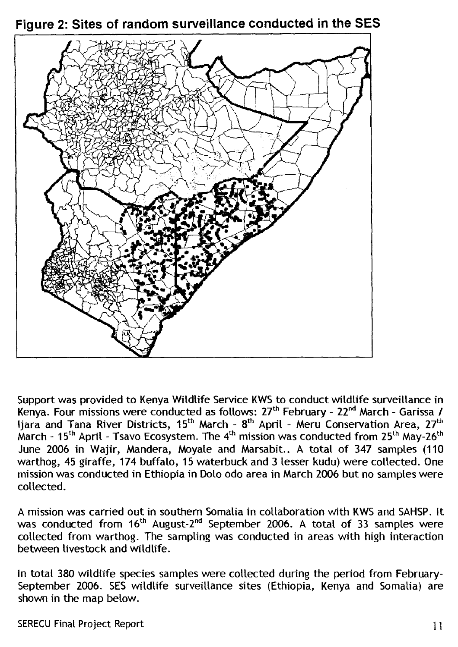



Support was provided to Kenya Wildlife Service KWS to conduct wildlife surveillance in Kenya. Four missions were conducted as follows: 27<sup>th</sup> February - 22<sup>nd</sup> March - Garissa / Ijara and Tana River Districts,  $15^{th}$  March -  $8^{th}$  April - Meru Conservation Area,  $27^{th}$ March -  $15<sup>th</sup>$  April - Tsavo Ecosystem. The  $4<sup>th</sup>$  mission was conducted from  $25<sup>th</sup>$  May- $26<sup>th</sup>$ June 2006 in Wajir, Mandera, Moyale and Marsabit.. A total of 347 samples (110 warthog, 45 giraffe, 174 buffalo, 15 waterbuck and 3 lesser kudu) were collected. One mission was conducted in Ethiopia in Dolo odo area in March 2006 but no samples were collected.

A mission was carried out in southern Somalia in collaboration with KWS and SAHSP. It was conducted from  $16<sup>th</sup>$  August-2<sup>nd</sup> September 2006. A total of 33 samples were collected from warthog. The sampling was conducted in areas with high interaction between livestock and wildlife.

In total 380 wildlife species samples were collected during the period from February-September 2006. SES wildlife surveillance sites (Ethiopia, Kenya and Somalia) are shown in the map below.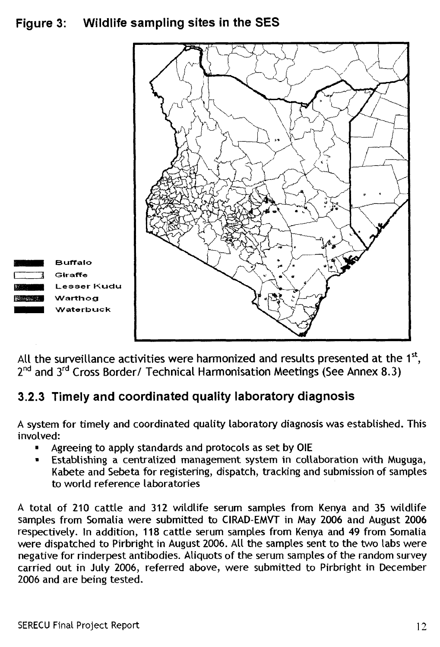## **Figure 3: Wildlife sampling sites in the SES**



All the surveillance activities were harmonized and results presented at the 1<sup>st</sup>, 2<sup>nd</sup> and 3<sup>rd</sup> Cross Border/ Technical Harmonisation Meetings (See Annex 8.3)

## **3.2.3 Timely and coordinated quality laboratory diagnosis**

A system for timely and coordinated quality laboratory diagnosis was established. This involved:

- Agreeing to apply standards and protocols as set by OIE
- Establishing a centralized management system in collaboration with Muguga, Kabete and Sebeta for registering, dispatch, tracking and submission of samples to world reference laboratories

A total of 210 cattle and 312 wildlife serum samples from Kenya and 35 wildlife samples from Somalia were submitted to CIRAD-EMVT in May 2006 and August 2006 respectively. In addition, 118 cattle serum samples from Kenya and 49 from Somalia were dispatched to Pirbright in August 2006. All the samples sent to the two labs were negative for rinderpest antibodies. Aliquots of the serum samples of the random survey carried out in July 2006, referred above, were submitted to Pirbright in December 2006 and are being tested.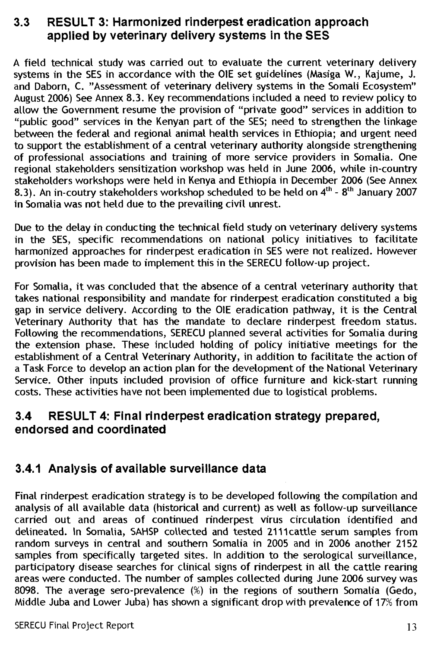#### **3.3 RESULT 3: Harmonized rinderpest eradication approach applied by veterinary delivery systems in the SES**

A field technical study was carried out to evaluate the current veterinary delivery systems in the SES in accordance with the OIE set guidelines (Masiga W., Kajume, J. and Daborn, C. "Assessment of veterinary delivery systems in the Somali Ecosystem" August 2006) See Annex 8.3. Key recommendations included a need to review policy to allow the Government resume the provision of "private good" services in addition to "public good" services in the Kenyan part of the SES; need to strengthen the linkage between the federal and regional animal health services in Ethiopia; and urgent need to support the establishment of a central veterinary authority alongside strengthening of professional associations and training of more service providers in Somalia. One regional stakeholders sensitization workshop was held in June 2006, while in-country stakeholders workshops were held in Kenya and Ethiopia in December 2006 (See Annex 8.3). An in-coutry stakeholders workshop scheduled to be held on  $4^{th}$  -  $8^{th}$  January 2007 in Somalia was not held due to the prevailing civil unrest.

Due to the delay in conducting the technical field study on veterinary delivery systems in the SES, specific recommendations on national policy initiatives to facilitate harmonized approaches for rinderpest eradication in SES were not realized. However provision has been made to implement this in the SERECU follow-up project.

For Somalia, it was concluded that the absence of a central veterinary authority that takes national responsibility and mandate for rinderpest eradication constituted a big gap in service delivery. According to the OIE eradication pathway, it is the Central Veterinary Authority that has the mandate to declare rinderpest freedom status. Following the recommendations, SERECU planned several activities for Somalia during the extension phase. These included holding of policy initiative meetings for the establishment of a Central Veterinary Authority, in addition to facilitate the action of a Task Force to develop an action plan for the development of the National Veterinary Service. Other inputs included provision of office furniture and kick-start running costs. These activities have not been implemented due to logistical problems.

### **3.4 RESULT 4: Final rinderpest eradication strategy prepared, endorsed and coordinated**

### **3.4.1 Analysis of available surveillance data**

Final rinderpest eradication strategy is to be developed following the compilation and analysis of all available data (historical and current) as well as follow-up surveillance carried out and areas of continued rinderpest virus circulation identified and delineated. In Somalia, SAHSP collected and tested 2111cattle serum samples from random surveys in central and southern Somalia in 2005 and in 2006 another 2152 samples from specifically targeted sites. In addition to the serological surveillance, participatory disease searches for clinical signs of rinderpest in all the cattle rearing areas were conducted. The number of samples collected during June 2006 survey was 8098. The average sero-prevalence (%) in the regions of southern Somalia (Gedo, Middle Juba and Lower Juba) has shown a significant drop with prevalence of 17% from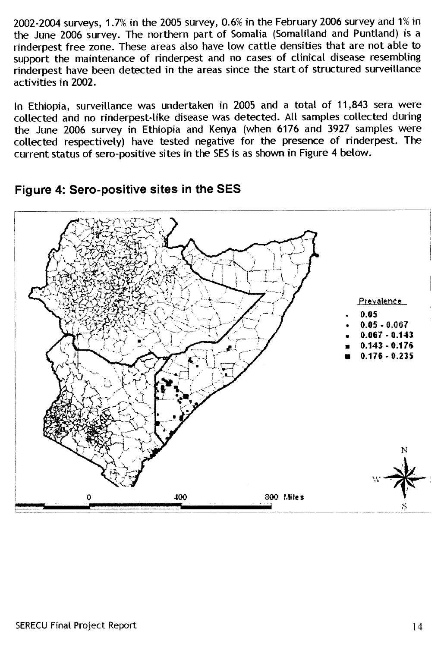2002-2004 surveys, 1.7% in the 2005 survey, 0.6% in the February 2006 survey and 1% in the June 2006 survey. The northern part of Somalia (Somaliland and Puntland) is a rinderpest free zone. These areas also have tow cattle densities that are not able to support the maintenance of rinderpest and no cases of clinical disease resembling rinderpest have been detected in the areas since the start of structured surveillance activities in 2002.

In Ethiopia, surveillance was undertaken in 2005 and a total of 11,843 sera were collected and no rinderpest-tike disease was detected. All samples collected during the June 2006 survey in Ethiopia and Kenya (when 6176 and 3927 samples were collected respectively) have tested negative for the presence of rinderpest. The current status of sero-positive sites in the SES is as shown in Figure 4 below.



#### **Figure 4: Sero-positive sites in the SES**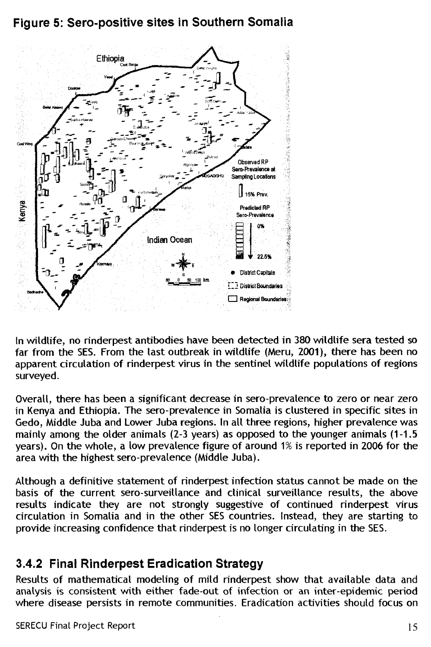## **Figure 5: Sero-positive sites in Southern Somalia**



In wildlife, no rinderpest antibodies have been detected in 380 wildlife sera tested so far from the SES. From the last outbreak in wildlife (Meru, 2001), there has been no apparent circulation of rinderpest virus in the sentinel wildlife populations of regions surveyed.

Overall, there has been a significant decrease in sero-prevalence to zero or near zero in Kenya and Ethiopia. The sero-prevalence in Somalia is clustered in specific sites in Gedo, Middle Juba and Lower Juba regions. In all three regions, higher prevalence was mainly among the older animals (2-3 years) as opposed to the younger animals (1-1.5 years). On the whole, a low prevalence figure of around 1% is reported in 2006 for the area with the highest sero-prevalence (Middle Juba).

Although a definitive statement of rinderpest infection status cannot be made on the basis of the current sero-surveillance and clinical surveillance results, the above results indicate they are not strongly suggestive of continued rinderpest virus circulation in Somalia and in the other SES countries. Instead, they are starting to provide increasing confidence that rinderpest is no longer circulating in the SES.

## **3.4.2 Final Rinderpest Eradication Strategy**

Results of mathematical modeling of mild rinderpest show that available data and analysis is consistent with either fade-out of infection or an inter-epidemic period where disease persists in remote communities. Eradication activities should focus on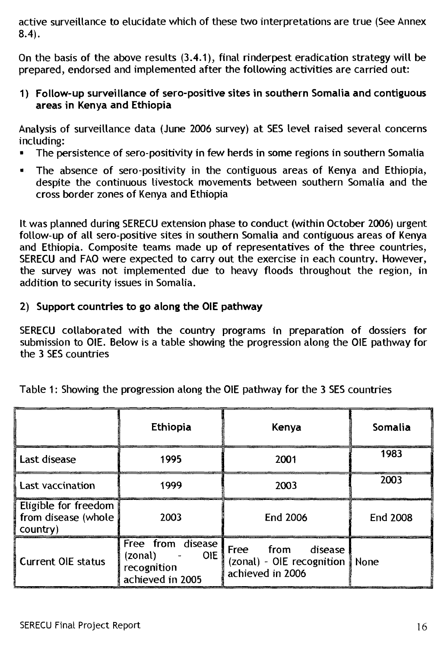active surveillance to elucidate which of these two interpretations are true (See Annex 8.4).

On the basis of the above results (3.4.1), final rinderpest eradication strategy will be prepared, endorsed and implemented after the following activities are carried out:

**1) Follow-up surveillance of sero-positive sites in southern Somalia and contiguous areas in Kenya and Ethiopia** 

Analysis of surveillance data (June 2006 survey) at SES level raised several concerns including:

- The persistence of sero-positivity in few herds in some regions in southern Somalia
- The absence of sero-positivity in the contiguous areas of Kenya and Ethiopia, despite the continuous livestock movements between southern Somalia and the cross border zones of Kenya and Ethiopia

It was planned during SERECU extension phase to conduct (within October 2006) urgent follow-up of all sero-positive sites in southern Somalia and contiguous areas of Kenya and Ethiopia. Composite teams made up of representatives of the three countries, SERECU and FAO were expected to carry out the exercise in each country. However, the survey was not implemented due to heavy floods throughout the region, in addition to security issues in Somalia.

#### **2) Support countries to go along the OlE pathway**

SERECU collaborated with the country programs in preparation of dossiers for submission to 01E. Below is a table showing the progression along the OIE pathway for the 3 SES countries

|                                                         | <b>Ethiopia</b>                                                               | Kenya                                                                        | Somalia         |
|---------------------------------------------------------|-------------------------------------------------------------------------------|------------------------------------------------------------------------------|-----------------|
| Last disease                                            | 1995                                                                          | 2001                                                                         | 1983            |
| Last vaccination                                        | 1999                                                                          | 2003                                                                         | 2003            |
| Eligible for freedom<br>from disease (whole<br>country) | 2003                                                                          | <b>End 2006</b>                                                              | <b>End 2008</b> |
| <b>Current OIE status</b>                               | Free from disease<br><b>OIE</b><br>(zonal)<br>recognition<br>achieved in 2005 | Free from<br>disease<br>(zonal) - OIE recognition   None<br>achieved in 2006 |                 |

Table 1: Showing the progression along the OlE pathway for the 3 SES countries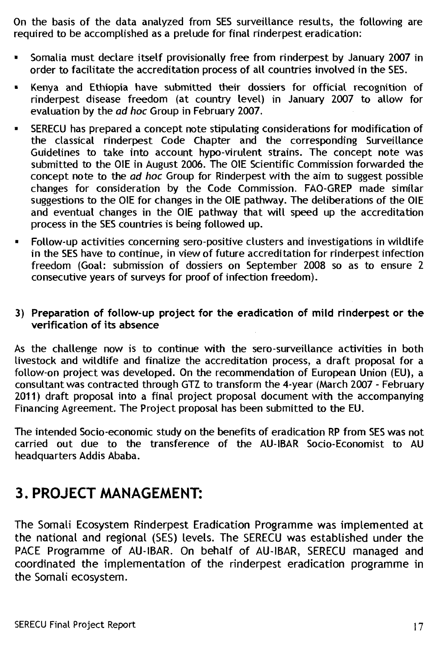On the basis of the data analyzed from SES surveillance results, the following are required to be accomplished as a prelude for final rinderpest eradication:

- Somalia must declare itself provisionally free from rinderpest by January 2007 in order to facilitate the accreditation process of all countries involved in the SES.
- Kenya and Ethiopia have submitted their dossiers for official recognition of rinderpest disease freedom (at country level) in January 2007 to allow for evaluation by the ad hoc Group in February 2007.
- SERECU has prepared a concept note stipulating considerations for modification of the classical rinderpest Code Chapter and the corresponding Surveillance Guidelines to take into account hypo-virulent strains. The concept note was submitted to the OIE in August 2006. The OIE Scientific Commission forwarded the concept note to the ad hoc Group for Rinderpest with the aim to suggest possible changes for consideration by the Code Commission. FAO-GREP made similar suggestions to the OIE for changes in the OIE pathway. The deliberations of the OIE and eventual changes in the OIE pathway that will speed up the accreditation process in the SES countries is being followed up.
- Follow-up activities concerning sero-positive clusters and investigations in wildlife in the SES have to continue, in view of future accreditation for rinderpest infection freedom (Goal: submission of dossiers on September 2008 so as to ensure 2 consecutive years of surveys for proof of infection freedom).

#### **3) Preparation of follow-up project for the eradication of mild rinderpest or the verification of its absence**

As the challenge now is to continue with the sero-surveillance activities in both livestock and wildlife and finalize the accreditation process, a draft proposal for a follow-on project was developed. On the recommendation of European Union (EU), a consultant was contracted through GTZ to transform the 4-year (March 2007 - February 2011) draft proposal into a final project proposal document with the accompanying Financing Agreement. The Project proposal has been submitted to the EU.

The intended Socio-economic study on the benefits of eradication RP from SES was not carried out due to the transference of the AU-IBAR Socio-Economist to AU headquarters Addis Ababa.

## **3. PROJECT MANAGEMENT:**

The Somali Ecosystem Rinderpest Eradication Programme was implemented at the national and regional (SES) levels. The SERECU was established under the PACE Programme of AU-IBAR. On behalf of AU-IBAR, SERECU managed and coordinated the implementation of the rinderpest eradication programme in the Somali ecosystem.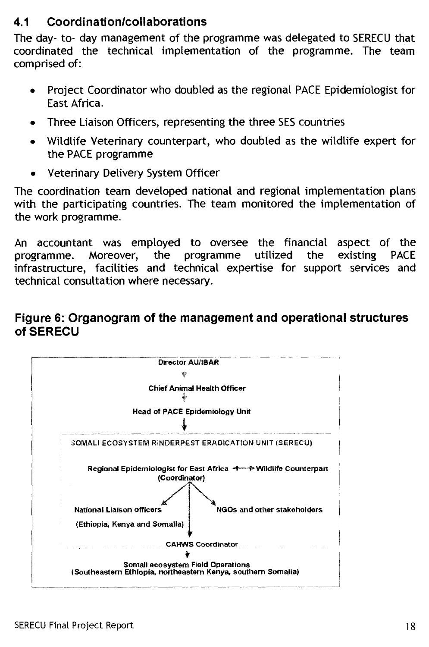## **4.1 Coordination/collaborations**

The day- to- day management of the programme was delegated to SERECU that coordinated the technical implementation of the programme. The team comprised of:

- Project Coordinator who doubled as the regional PACE Epidemiologist for East Africa.
- Three Liaison Officers, representing the three SES countries
- Wildlife Veterinary counterpart, who doubled as the wildlife expert for the PACE programme
- Veterinary Delivery System Officer

The coordination team developed national and regional implementation plans with the participating countries. The team monitored the implementation of the work programme.

An accountant was employed to oversee the financial aspect of the programme. Moreover, the programme utilized the existing PACE infrastructure, facilities and technical expertise for support services and technical consultation where necessary.

#### **Figure 6: Organogram of the management and operational structures of SERECU**

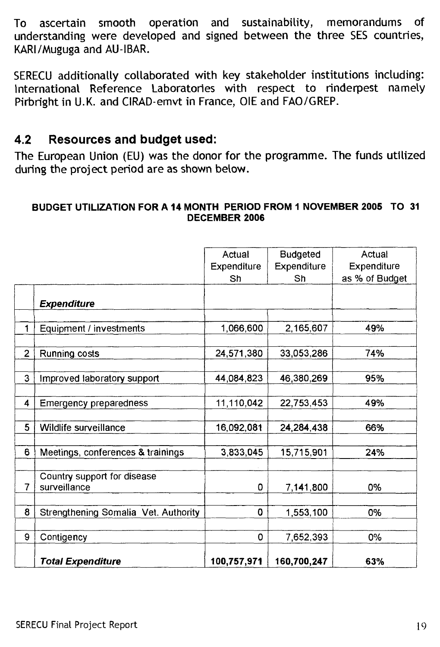To ascertain smooth operation and sustainability, memorandums of understanding were developed and signed between the three SES countries, KARI/Muguga and AU-IBAR.

SERECU additionally collaborated with key stakeholder institutions including: International Reference Laboratories with respect to rinderpest namely Pirbright in U.K. and CIRAD-emvt in France, OIE and FAO/GREP.

### **4.2 Resources and budget used:**

The European Union (EU) was the donor for the programme. The funds utilized during the project period are as shown below.

#### **BUDGET UTILIZATION FOR A 14 MONTH PERIOD FROM 1 NOVEMBER 2005 TO 31 DECEMBER 2006**

|                |                                      | Actual      | <b>Budgeted</b> | Actual         |
|----------------|--------------------------------------|-------------|-----------------|----------------|
|                |                                      | Expenditure | Expenditure     | Expenditure    |
|                |                                      | Sh          | Sh              | as % of Budget |
|                |                                      |             |                 |                |
|                | <b>Expenditure</b>                   |             |                 |                |
|                |                                      |             |                 |                |
| 1              | Equipment / investments              | 1,066,600   | 2,165,607       | 49%            |
|                |                                      |             |                 |                |
| $\overline{c}$ | Running costs                        | 24,571,380  | 33,053,286      | 74%            |
|                |                                      |             |                 |                |
| 3              | Improved laboratory support          | 44,084,823  | 46,380,269      | 95%            |
|                |                                      |             |                 |                |
| 4              | Emergency preparedness               | 11,110,042  | 22,753,453      | 49%            |
|                |                                      |             |                 |                |
| 5              | Wildlife surveillance                | 16,092,081  | 24,284,438      | 66%            |
|                |                                      |             |                 |                |
| 6              | Meetings, conferences & trainings    | 3,833,045   | 15,715,901      | 24%            |
|                |                                      |             |                 |                |
|                | Country support for disease          |             |                 |                |
| 7              | surveillance                         | 0           | 7,141,800       | 0%             |
| 8              |                                      | $\mathbf 0$ |                 |                |
|                | Strengthening Somalia Vet. Authority |             | 1,553,100       | 0%             |
| 9              | Contigency                           | 0           | 7,652,393       | 0%             |
|                |                                      |             |                 |                |
|                | <b>Total Expenditure</b>             | 100,757,971 | 160,700,247     | 63%            |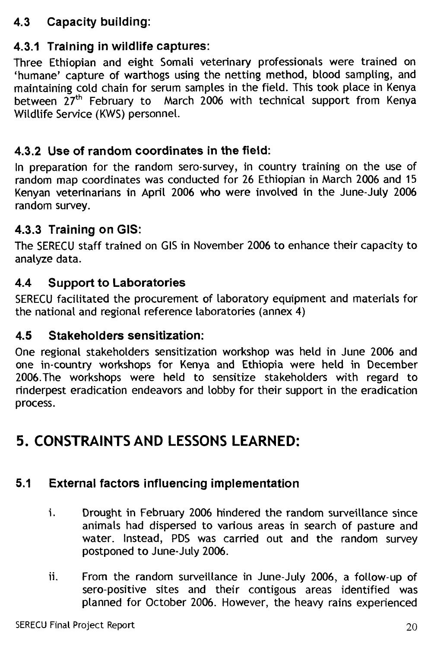## **4.3 Capacity building:**

## **4.3.1 Training in wildlife captures:**

Three Ethiopian and eight Somali veterinary professionals were trained on `humane' capture of warthogs using the netting method, blood sampling, and maintaining cold chain for serum samples in the field. This took place in Kenya between  $27<sup>th</sup>$  February to March 2006 with technical support from Kenya Wildlife Service (KWS) personnel.

### **4.3.2 Use of random coordinates in the field:**

In preparation for the random sero-survey, in country training on the use of random map coordinates was conducted for 26 Ethiopian in March 2006 and 15 Kenyan veterinarians in April 2006 who were involved in the June-July 2006 random survey.

## **4.3.3 Training on GIS:**

The SERECU staff trained on GIS in November 2006 to enhance their capacity to analyze data.

### **4.4 Support to Laboratories**

SERECU facilitated the procurement of laboratory equipment and materials for the national and regional reference laboratories (annex 4)

### **4.5 Stakeholders sensitization:**

One regional stakeholders sensitization workshop was held in June 2006 and one in-country workshops for Kenya and Ethiopia were held in December 2006.The workshops were held to sensitize stakeholders with regard to rinderpest eradication endeavors and lobby for their support in the eradication process.

## **5. CONSTRAINTS AND LESSONS LEARNED:**

## **5.1 External factors influencing implementation**

- i. Drought in February 2006 hindered the random surveillance since animals had dispersed to various areas in search of pasture and water. Instead, PDS was carried out and the random survey postponed to June-July 2006.
- ii. From the random surveillance in June-July 2006, a follow-up of sero-positive sites and their contigous areas identified was planned for October 2006. However, the heavy rains experienced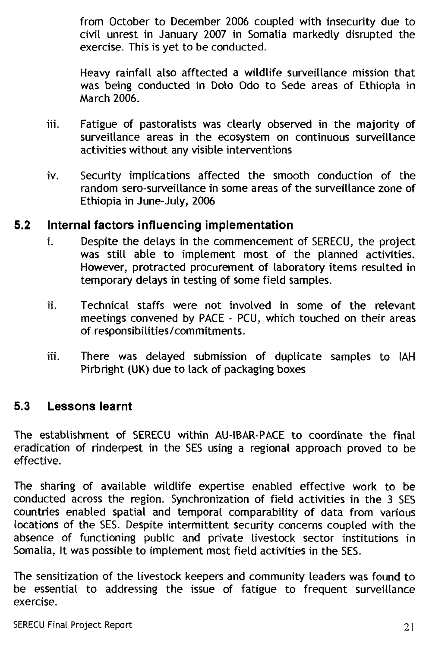from October to December 2006 coupled with insecurity due to civil unrest in January 2007 in Somalia markedly disrupted the exercise. This is yet to be conducted.

Heavy rainfall also afftected a wildlife surveillance mission that was being conducted in Doto Odo to Sede areas of Ethiopia in March 2006.

- iii. Fatigue of pastoralists was clearly observed in the majority of surveillance areas in the ecosystem on continuous surveillance activities without any visible interventions
- iv. Security implications affected the smooth conduction of the random sero-surveillance in some areas of the surveillance zone of Ethiopia in June-July, 2006

#### **5.2 Internal factors influencing implementation**

- i. Despite the delays in the commencement of SERECU, the project was still able to implement most of the planned activities. However, protracted procurement of laboratory items resulted in temporary delays in testing of some field samples.
- ii. Technical staffs were not involved in some of the relevant meetings convened by PACE - PCU, which touched on their areas of responsibilities/commitments.
- iii. There was delayed submission of duplicate samples to IAH Pirbright (UK) due to lack of packaging boxes

#### **5.3 Lessons learnt**

The establishment of SERECU within AU-IBAR-PACE to coordinate the final eradication of rinderpest in the SES using a regional approach proved to be effective.

The sharing of available wildlife expertise enabled effective work to be conducted across the region. Synchronization of field activities in the 3 SES countries enabled spatial and temporal comparability of data from various locations of the SES. Despite intermittent security concerns coupled with the absence of functioning public and private livestock sector institutions in Somalia, It was possible to implement most field activities in the SES.

The sensitization of the livestock keepers and community leaders was found to be essential to addressing the issue of fatigue to frequent surveillance exercise.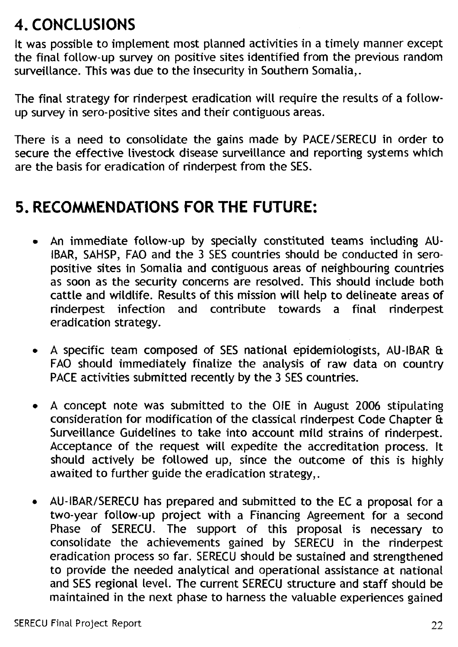# **4. CONCLUSIONS**

It was possible to implement most planned activities in a timely manner except the final follow-up survey on positive sites identified from the previous random surveillance. This was due to the insecurity in Southern Somalia,.

The final strategy for rinderpest eradication will require the results of a followup survey in sero-positive sites and their contiguous areas.

There is a need to consolidate the gains made by PACE/SERECU in order to secure the effective livestock disease surveillance and reporting systems which are the basis for eradication of rinderpest from the SES.

## **5. RECOMMENDATIONS FOR THE FUTURE:**

- An immediate follow-up by specially constituted teams including AU-IBAR, SAHSP, FAO and the 3 SES countries should be conducted in seropositive sites in Somalia and contiguous areas of neighbouring countries as soon as the security concerns are resolved. This should include both cattle and wildlife. Results of this mission will help to delineate areas of rinderpest infection and contribute towards a final rinderpest eradication strategy.
- A specific team composed of SES national epidemiologists, AU-IBAR & FAO should immediately finalize the analysis of raw data on country PACE activities submitted recently by the 3 SES countries.
- A concept note was submitted to the OIE in August 2006 stipulating consideration for modification of the classical rinderpest Code Chapter & Surveillance Guidelines to take into account mild strains of rinderpest. Acceptance of the request will expedite the accreditation process. It should actively be followed up, since the outcome of this is highly awaited to further guide the eradication strategy,.
- AU-IBAR/SERECU has prepared and submitted to the EC a proposal for a two-year follow-up project with a Financing Agreement for a second Phase of SERECU. The support of this proposal is necessary to consolidate the achievements gained by SERECU in the rinderpest eradication process so far. SERECU should be sustained and strengthened to provide the needed analytical and operational assistance at national and SES regional level. The current SERECU structure and staff should be maintained in the next phase to harness the valuable experiences gained